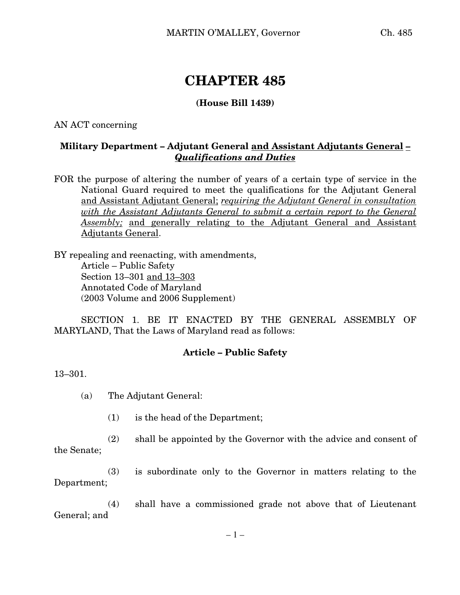# **CHAPTER 485**

### **(House Bill 1439)**

AN ACT concerning

# **Military Department – Adjutant General and Assistant Adjutants General** *– Qualifications and Duties*

FOR the purpose of altering the number of years of a certain type of service in the National Guard required to meet the qualifications for the Adjutant General and Assistant Adjutant General; *requiring the Adjutant General in consultation with the Assistant Adjutants General to submit a certain report to the General Assembly;* and generally relating to the Adjutant General and Assistant Adjutants General.

BY repealing and reenacting, with amendments, Article – Public Safety Section 13–301 and 13–303 Annotated Code of Maryland (2003 Volume and 2006 Supplement)

SECTION 1. BE IT ENACTED BY THE GENERAL ASSEMBLY OF MARYLAND, That the Laws of Maryland read as follows:

#### **Article – Public Safety**

13–301.

(a) The Adjutant General:

(1) is the head of the Department;

(2) shall be appointed by the Governor with the advice and consent of the Senate;

(3) is subordinate only to the Governor in matters relating to the Department;

(4) shall have a commissioned grade not above that of Lieutenant General; and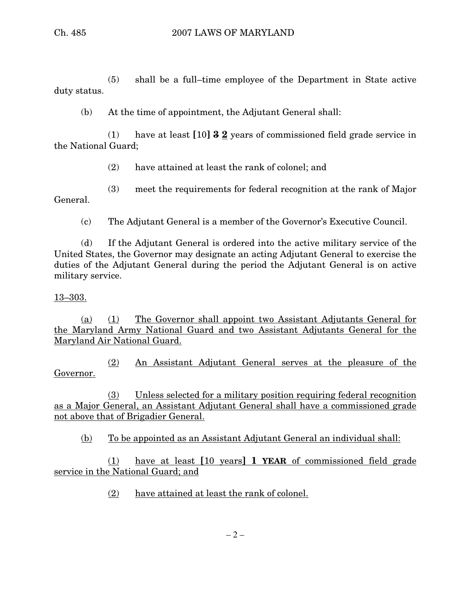(5) shall be a full–time employee of the Department in State active duty status.

(b) At the time of appointment, the Adjutant General shall:

(1) have at least **[**10**] 3 2** years of commissioned field grade service in the National Guard;

(2) have attained at least the rank of colonel; and

(3) meet the requirements for federal recognition at the rank of Major General.

(c) The Adjutant General is a member of the Governor's Executive Council.

(d) If the Adjutant General is ordered into the active military service of the United States, the Governor may designate an acting Adjutant General to exercise the duties of the Adjutant General during the period the Adjutant General is on active military service.

## 13–303.

(a) (1) The Governor shall appoint two Assistant Adjutants General for the Maryland Army National Guard and two Assistant Adjutants General for the Maryland Air National Guard.

(2) An Assistant Adjutant General serves at the pleasure of the Governor.

(3) Unless selected for a military position requiring federal recognition as a Major General, an Assistant Adjutant General shall have a commissioned grade not above that of Brigadier General.

(b) To be appointed as an Assistant Adjutant General an individual shall:

(1) have at least **[**10 years**] 1 YEAR** of commissioned field grade service in the National Guard; and

(2) have attained at least the rank of colonel.